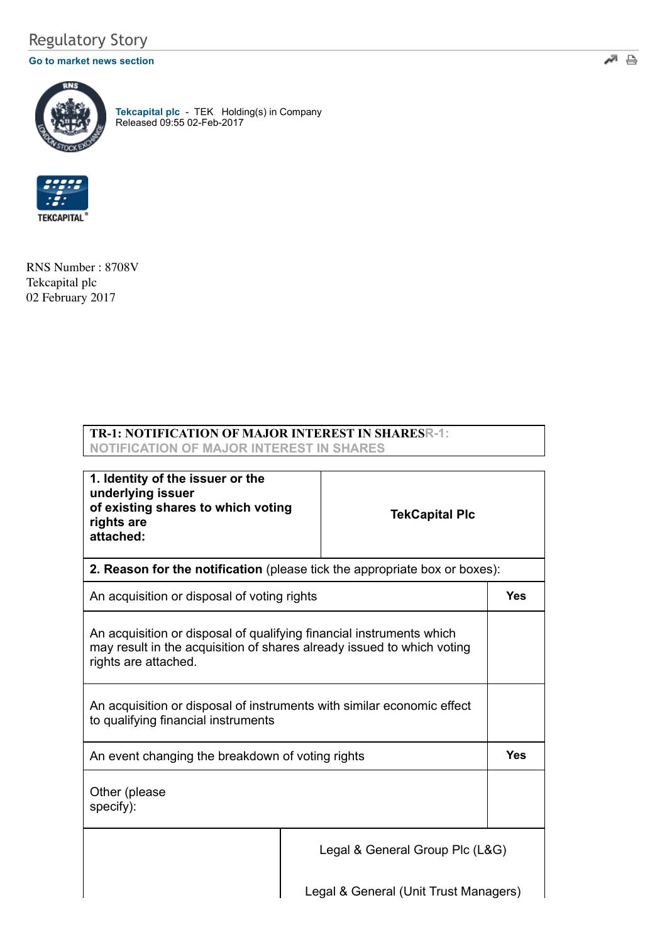## Regulatory Story

#### **[Go to market news section](javascript:%20sendto()**



**[Tekcapital plc](http://www.londonstockexchange.com/exchange/prices-and-markets/stocks/summary/company-summary-via-tidm.html?tidm=TEK)** - TEK Holding(s) in Company Released 09:55 02-Feb-2017



RNS Number : 8708V Tekcapital plc 02 February 2017

### **TR-1: NOTIFICATION OF MAJOR INTEREST IN SHARESR-1: NOTIFICATION OF MAJOR INTEREST IN SHARES**

| 1. Identity of the issuer or the<br>underlying issuer<br>of existing shares to which voting<br>rights are<br>attached:                                                 |  | <b>TekCapital Plc</b> |            |
|------------------------------------------------------------------------------------------------------------------------------------------------------------------------|--|-----------------------|------------|
| 2. Reason for the notification (please tick the appropriate box or boxes):                                                                                             |  |                       |            |
| An acquisition or disposal of voting rights                                                                                                                            |  |                       | <b>Yes</b> |
| An acquisition or disposal of qualifying financial instruments which<br>may result in the acquisition of shares already issued to which voting<br>rights are attached. |  |                       |            |
| An acquisition or disposal of instruments with similar economic effect<br>to qualifying financial instruments                                                          |  |                       |            |
| An event changing the breakdown of voting rights                                                                                                                       |  |                       | <b>Yes</b> |
| Other (please<br>specify):                                                                                                                                             |  |                       |            |
| Legal & General Group Plc (L&G)                                                                                                                                        |  |                       |            |
| Legal & General (Unit Trust Managers)                                                                                                                                  |  |                       |            |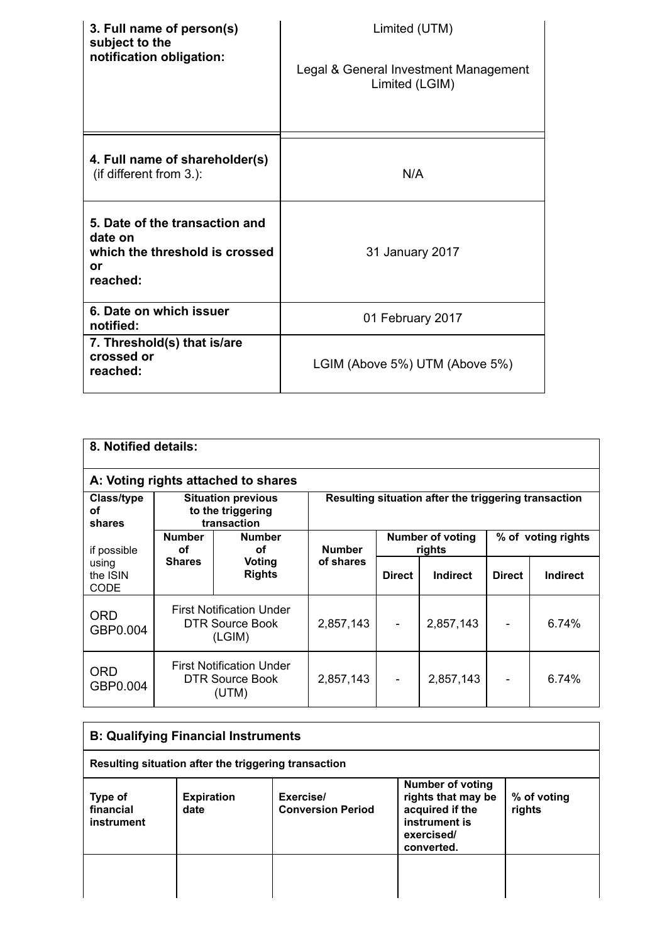| 3. Full name of person(s)<br>subject to the<br>notification obligation:                       | Limited (UTM)<br>Legal & General Investment Management<br>Limited (LGIM) |
|-----------------------------------------------------------------------------------------------|--------------------------------------------------------------------------|
| 4. Full name of shareholder(s)<br>(if different from $3.$ ):                                  | N/A                                                                      |
| 5. Date of the transaction and<br>date on<br>which the threshold is crossed<br>or<br>reached: | 31 January 2017                                                          |
| 6. Date on which issuer<br>notified:                                                          | 01 February 2017                                                         |
| 7. Threshold(s) that is/are<br>crossed or<br>reached:                                         | LGIM (Above 5%) UTM (Above 5%)                                           |

| 8. Notified details:                                                                        |                                                                     |                                                      |               |                                   |               |                    |       |  |
|---------------------------------------------------------------------------------------------|---------------------------------------------------------------------|------------------------------------------------------|---------------|-----------------------------------|---------------|--------------------|-------|--|
|                                                                                             | A: Voting rights attached to shares                                 |                                                      |               |                                   |               |                    |       |  |
| Class/type<br><b>Situation previous</b><br>to the triggering<br>οf<br>transaction<br>shares |                                                                     | Resulting situation after the triggering transaction |               |                                   |               |                    |       |  |
| if possible                                                                                 | <b>Number</b><br><b>Number</b><br>οf<br>οf                          |                                                      | <b>Number</b> | <b>Number of voting</b><br>rights |               | % of voting rights |       |  |
| using<br>the ISIN<br><b>CODE</b>                                                            | <b>Shares</b><br>Voting<br><b>Rights</b>                            | of shares                                            | <b>Direct</b> | Indirect                          | <b>Direct</b> | Indirect           |       |  |
| <b>ORD</b><br>GBP0.004                                                                      | <b>First Notification Under</b><br><b>DTR Source Book</b><br>(LGIM) |                                                      | 2,857,143     | $\overline{\phantom{a}}$          | 2,857,143     |                    | 6.74% |  |
| ORD<br>GBP0.004                                                                             | <b>First Notification Under</b><br>DTR Source Book<br>(UTM)         |                                                      | 2,857,143     |                                   | 2,857,143     |                    | 6.74% |  |

| <b>B: Qualifying Financial Instruments</b>           |                           |                                       |                                                                                                               |                       |
|------------------------------------------------------|---------------------------|---------------------------------------|---------------------------------------------------------------------------------------------------------------|-----------------------|
| Resulting situation after the triggering transaction |                           |                                       |                                                                                                               |                       |
| Type of<br>financial<br>instrument                   | <b>Expiration</b><br>date | Exercise/<br><b>Conversion Period</b> | <b>Number of voting</b><br>rights that may be<br>acquired if the<br>instrument is<br>exercised/<br>converted. | % of voting<br>rights |
|                                                      |                           |                                       |                                                                                                               |                       |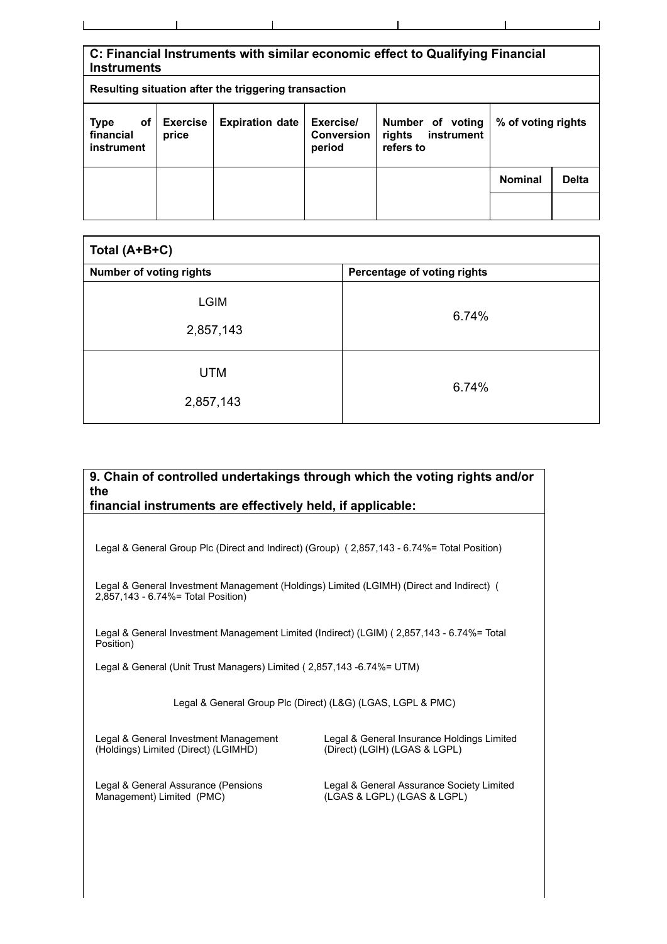| C: Financial Instruments with similar economic effect to Qualifying Financial<br><b>Instruments</b>                                                                                                     |  |  |                    |  |                |              |
|---------------------------------------------------------------------------------------------------------------------------------------------------------------------------------------------------------|--|--|--------------------|--|----------------|--------------|
| Resulting situation after the triggering transaction                                                                                                                                                    |  |  |                    |  |                |              |
| <b>Expiration date</b><br>Exercise/<br><b>Exercise</b><br><b>Type</b><br>Number of voting<br>оf<br>financial<br>instrument<br><b>Conversion</b><br>rights<br>price<br>instrument<br>refers to<br>period |  |  | % of voting rights |  |                |              |
|                                                                                                                                                                                                         |  |  |                    |  | <b>Nominal</b> | <b>Delta</b> |
|                                                                                                                                                                                                         |  |  |                    |  |                |              |

| Total (A+B+C)                  |                             |  |
|--------------------------------|-----------------------------|--|
| <b>Number of voting rights</b> | Percentage of voting rights |  |
| <b>LGIM</b><br>2,857,143       | 6.74%                       |  |
| <b>UTM</b><br>2,857,143        | 6.74%                       |  |

# **9. Chain of controlled undertakings through which the voting rights and/or the financial instruments are effectively held, if applicable:** Legal & General Group Plc (Direct and Indirect) (Group) ( 2,857,143 - 6.74%= Total Position) Legal & General Investment Management (Holdings) Limited (LGIMH) (Direct and Indirect) ( 2,857,143 - 6.74%= Total Position) Legal & General Investment Management Limited (Indirect) (LGIM) ( 2,857,143 - 6.74%= Total Position) Legal & General (Unit Trust Managers) Limited ( 2,857,143 -6.74%= UTM) Legal & General Group Plc (Direct) (L&G) (LGAS, LGPL & PMC)

Legal & General Investment Management (Holdings) Limited (Direct) (LGIMHD)

Legal & General Insurance Holdings Limited (Direct) (LGIH) (LGAS & LGPL)

Legal & General Assurance (Pensions Management) Limited (PMC)

Legal & General Assurance Society Limited (LGAS & LGPL) (LGAS & LGPL)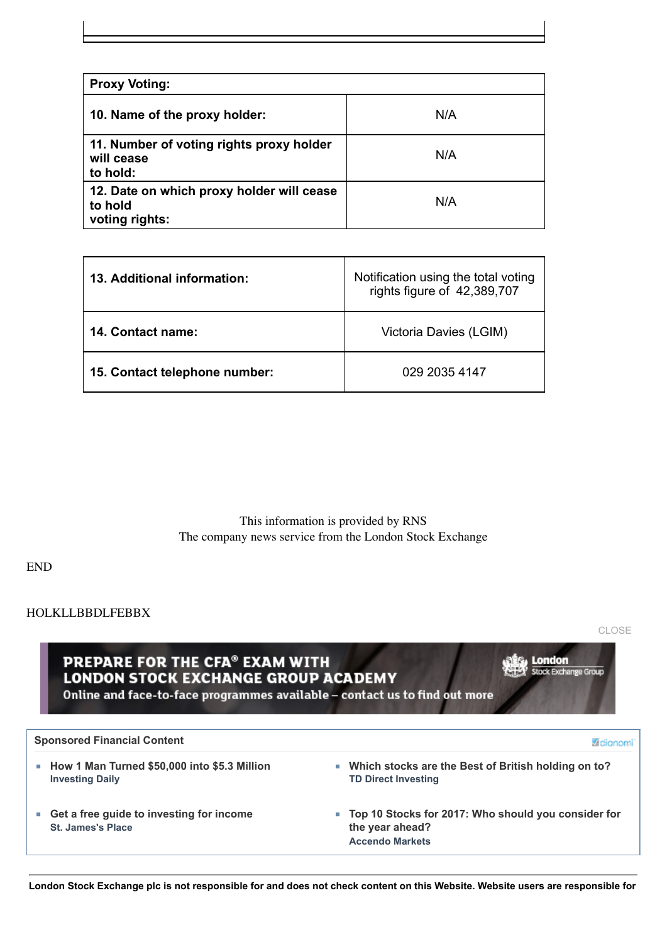| <b>Proxy Voting:</b>                                                   |     |
|------------------------------------------------------------------------|-----|
| 10. Name of the proxy holder:                                          | N/A |
| 11. Number of voting rights proxy holder<br>will cease<br>to hold:     | N/A |
| 12. Date on which proxy holder will cease<br>to hold<br>voting rights: | N/A |

| 13. Additional information:   | Notification using the total voting<br>rights figure of 42,389,707 |
|-------------------------------|--------------------------------------------------------------------|
| 14. Contact name:             | Victoria Davies (LGIM)                                             |
| 15. Contact telephone number: | 029 2035 4147                                                      |

This information is provided by RNS The company news service from the London Stock Exchange

END

#### HOLKLLBBDLFEBBX

[CLOSE](javascript:self.close();)

PREPARE FOR THE CFA® EXAM WITH **LONDON STOCK EXCHANGE GROUP ACADEMY** Online and face-to-face programmes available - contact us to find out more

**London**<br>Stock Exchange Group

| <b>Sponsored Financial Content</b><br><b>A</b> dianom                    |                                                                                                    |  |  |  |
|--------------------------------------------------------------------------|----------------------------------------------------------------------------------------------------|--|--|--|
| ■ How 1 Man Turned \$50,000 into \$5.3 Million<br><b>Investing Daily</b> | ■ Which stocks are the Best of British holding on to?<br><b>TD Direct Investing</b>                |  |  |  |
| ■ Get a free guide to investing for income<br><b>St. James's Place</b>   | ■ Top 10 Stocks for 2017: Who should you consider for<br>the year ahead?<br><b>Accendo Markets</b> |  |  |  |

**London Stock Exchange plc is not responsible for and does not check content on this Website. Website users are responsible for**